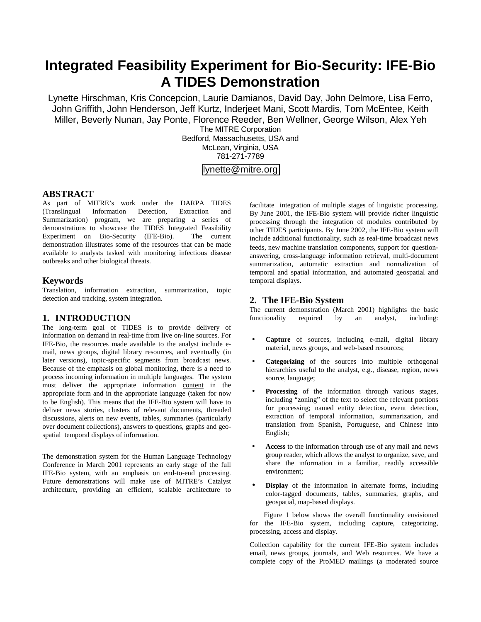# **Integrated Feasibility Experiment for Bio-Security: IFE-Bio A TIDES Demonstration**

Lynette Hirschman, Kris Concepcion, Laurie Damianos, David Day, John Delmore, Lisa Ferro, John Griffith, John Henderson, Jeff Kurtz, Inderjeet Mani, Scott Mardis, Tom McEntee, Keith Miller, Beverly Nunan, Jay Ponte, Florence Reeder, Ben Wellner, George Wilson, Alex Yeh

The MITRE Corporation Bedford, Massachusetts, USA and McLean, Virginia, USA 781-271-7789

## [lynette@mitre.org](mailto:lynette@mitre.org)

#### **ABSTRACT**

As part of MITRE's work under the DARPA TIDES (Translingual Information Detection, Extraction and Summarization) program, we are preparing a series of demonstrations to showcase the TIDES Integrated Feasibility Experiment on Bio-Security (IFE-Bio). The current demonstration illustrates some of the resources that can be made available to analysts tasked with monitoring infectious disease outbreaks and other biological threats.

#### **Keywords**

Translation, information extraction, summarization, topic detection and tracking, system integration.

### **1. INTRODUCTION**

The long-term goal of TIDES is to provide delivery of information on demand in real-time from live on-line sources. For IFE-Bio, the resources made available to the analyst include email, news groups, digital library resources, and eventually (in later versions), topic-specific segments from broadcast news. Because of the emphasis on global monitoring, there is a need to process incoming information in multiple languages. The system must deliver the appropriate information content in the appropriate form and in the appropriate language (taken for now to be English). This means that the IFE-Bio system will have to deliver news stories, clusters of relevant documents, threaded discussions, alerts on new events, tables, summaries (particularly over document collections), answers to questions, graphs and geospatial temporal displays of information.

The demonstration system for the Human Language Technology Conference in March 2001 represents an early stage of the full IFE-Bio system, with an emphasis on end-to-end processing. Future demonstrations will make use of MITRE's Catalyst architecture, providing an efficient, scalable architecture to facilitate integration of multiple stages of linguistic processing. By June 2001, the IFE-Bio system will provide richer linguistic processing through the integration of modules contributed by other TIDES participants. By June 2002, the IFE-Bio system will include additional functionality, such as real-time broadcast news feeds, new machine translation components, support for questionanswering, cross-language information retrieval, multi-document summarization, automatic extraction and normalization of temporal and spatial information, and automated geospatial and temporal displays.

#### **2. The IFE-Bio System**

The current demonstration (March 2001) highlights the basic functionality required by an analyst, including:

- **Capture** of sources, including e-mail, digital library material, news groups, and web-based resources;
- **Categorizing** of the sources into multiple orthogonal hierarchies useful to the analyst, e.g., disease, region, news source, language;
- Processing of the information through various stages, including "zoning" of the text to select the relevant portions for processing; named entity detection, event detection, extraction of temporal information, summarization, and translation from Spanish, Portuguese, and Chinese into English;
- **Access** to the information through use of any mail and news group reader, which allows the analyst to organize, save, and share the information in a familiar, readily accessible environment;
- **Display** of the information in alternate forms, including color-tagged documents, tables, summaries, graphs, and geospatial, map-based displays.

Figure 1 below shows the overall functionality envisioned for the IFE-Bio system, including capture, categorizing, processing, access and display.

Collection capability for the current IFE-Bio system includes email, news groups, journals, and Web resources. We have a complete copy of the ProMED mailings (a moderated source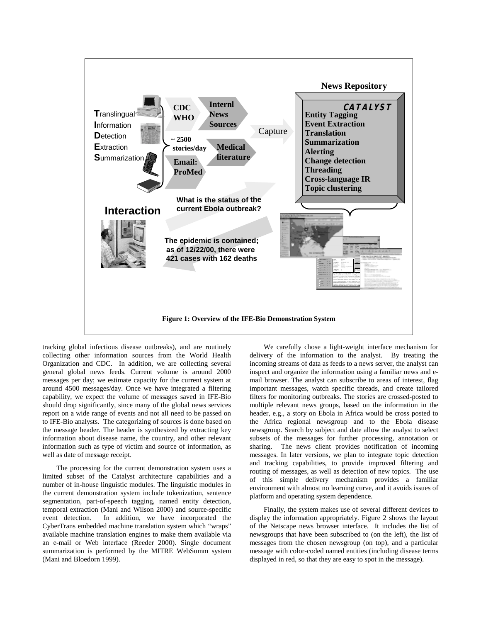

tracking global infectious disease outbreaks), and are routinely collecting other information sources from the World Health Organization and CDC. In addition, we are collecting several general global news feeds. Current volume is around 2000 messages per day; we estimate capacity for the current system at around 4500 messages/day. Once we have integrated a filtering capability, we expect the volume of messages saved in IFE-Bio should drop significantly, since many of the global news services report on a wide range of events and not all need to be passed on to IFE-Bio analysts. The categorizing of sources is done based on the message header. The header is synthesized by extracting key information about disease name, the country, and other relevant information such as type of victim and source of information, as well as date of message receipt.

The processing for the current demonstration system uses a limited subset of the Catalyst architecture capabilities and a number of in-house linguistic modules. The linguistic modules in the current demonstration system include tokenization, sentence segmentation, part-of-speech tagging, named entity detection, temporal extraction (Mani and Wilson 2000) and source-specific event detection. In addition, we have incorporated the CyberTrans embedded machine translation system which "wraps" available machine translation engines to make them available via an e-mail or Web interface (Reeder 2000). Single document summarization is performed by the MITRE WebSumm system (Mani and Bloedorn 1999).

We carefully chose a light-weight interface mechanism for delivery of the information to the analyst. By treating the incoming streams of data as feeds to a news server, the analyst can inspect and organize the information using a familiar news and email browser. The analyst can subscribe to areas of interest, flag important messages, watch specific threads, and create tailored filters for monitoring outbreaks. The stories are crossed-posted to multiple relevant news groups, based on the information in the header, e.g., a story on Ebola in Africa would be cross posted to the Africa regional newsgroup and to the Ebola disease newsgroup. Search by subject and date allow the analyst to select subsets of the messages for further processing, annotation or sharing. The news client provides notification of incoming messages. In later versions, we plan to integrate topic detection and tracking capabilities, to provide improved filtering and routing of messages, as well as detection of new topics. The use of this simple delivery mechanism provides a familiar environment with almost no learning curve, and it avoids issues of platform and operating system dependence.

Finally, the system makes use of several different devices to display the information appropriately. Figure 2 shows the layout of the Netscape news browser interface. It includes the list of newsgroups that have been subscribed to (on the left), the list of messages from the chosen newsgroup (on top), and a particular message with color-coded named entities (including disease terms displayed in red, so that they are easy to spot in the message).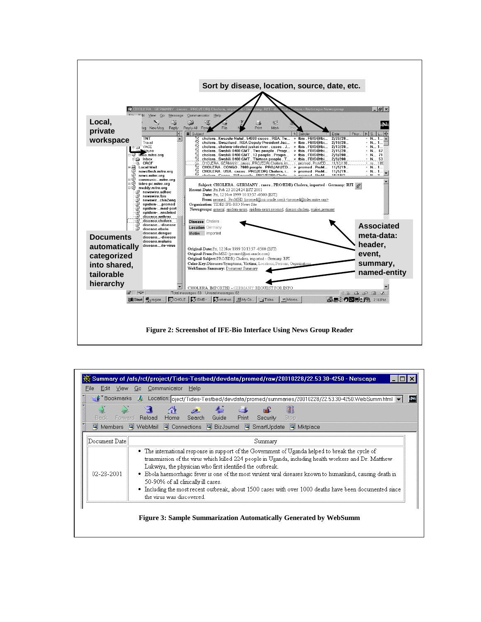

|               | ⊩ Bookmarks & Location: oject/Tides-Testbed/devdata/promed/summaries/20010228/22.53.30-4250.WebSumm.html &                                                                                                                                                                                                                                                                                                                                                                                                                                                          |
|---------------|---------------------------------------------------------------------------------------------------------------------------------------------------------------------------------------------------------------------------------------------------------------------------------------------------------------------------------------------------------------------------------------------------------------------------------------------------------------------------------------------------------------------------------------------------------------------|
|               | d.<br>المطن<br>Home Search Guide<br>Back Forward Reload<br>Print<br>Security<br>Stop                                                                                                                                                                                                                                                                                                                                                                                                                                                                                |
| 图 Members     | 网 WebMail 网 Connections 网 BizJournal 网 SmartUpdate<br><b>图</b> Mktplace                                                                                                                                                                                                                                                                                                                                                                                                                                                                                             |
| Document Date | Summary                                                                                                                                                                                                                                                                                                                                                                                                                                                                                                                                                             |
| 02-28-2001    | • The international response in support of the Government of Uganda helped to break the cycle of<br>transmission of the virus which killed 224 people in Uganda, including health workers and Dr. Matthew<br>Lukwiya, the physician who first identified the outbreak.<br>• Ebola haemorrhagic fever is one of the most virulent viral diseases known to humankind, causing death in<br>50-90% of all clinically ill cases.<br>• Including the most recent outbreak, about 1500 cases with over 1000 deaths have been documented since<br>the virus was discovered. |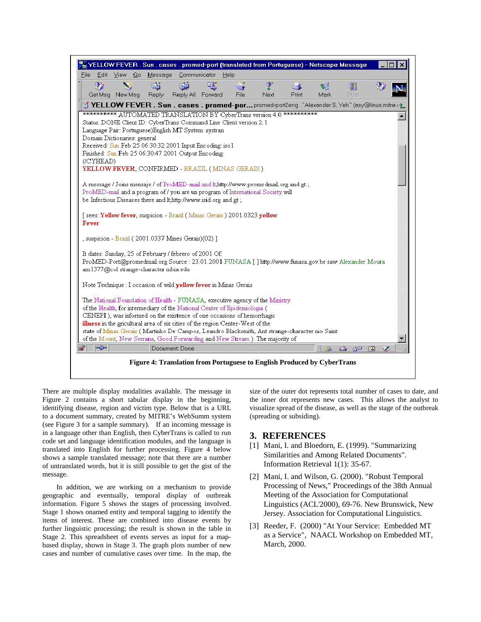| YELLOW FEVER . Sun . cases . promed-port (translated from Portuguese) - Netscape Message                                                                                         |  |  |
|----------------------------------------------------------------------------------------------------------------------------------------------------------------------------------|--|--|
| Message Communicator<br>Help<br>File<br>Edit View Go                                                                                                                             |  |  |
| ГÑ<br>GI.<br>國行<br>鵴<br>СĎ                                                                                                                                                       |  |  |
| Get Msg New Msg<br>Reply<br>Reply All Forward<br><b>File</b><br>Next<br>Print<br>Mark<br>Stop                                                                                    |  |  |
| Y YELLOW FEVER . Sun . cases . promed-por promed-port2eng. ^Alexander S. Yeh^ (asy@linus.mitre.) ^                                                                               |  |  |
| *********** AUTOMATED TRANSLATION BY CyberTrans version 4.0 ***********<br>▲<br>Status: DONE Client ID: CyberTrans Command Line Client version 2.1                               |  |  |
| Language Pair: Portuguese)English MT System: systran                                                                                                                             |  |  |
| Domain Dictionaries: general                                                                                                                                                     |  |  |
| Received: Sun Feb 25 06:30:32 2001 Input Encoding: iso1                                                                                                                          |  |  |
| Finished: Sun Feb 25 06:30:47 2001 Output Encoding:<br>(/CYHEAD)                                                                                                                 |  |  |
| YELLOW FEVER, CONFIRMED - BRAZIL (MINAS GERAIS)                                                                                                                                  |  |  |
|                                                                                                                                                                                  |  |  |
| A message / Joins mensaje / of ProMED-mail and lt, http://www.promedmail.org and gt;                                                                                             |  |  |
| ProMED-mail and a program of / you are un program of International Society will                                                                                                  |  |  |
| be Infectious Diseases there and lt,http://www.isid.org and gt;                                                                                                                  |  |  |
| [ sees: Yellow fever, suspicion - Brazil (Minas Gerais ) 2001.0323 yellow<br>Fever                                                                                               |  |  |
| , suspicion - Brazil (2001.0337 Mines Gerais)(02) ]                                                                                                                              |  |  |
| It dates: Sunday, 25 of February / febrero of 2001 Of:                                                                                                                           |  |  |
| ProMED-Port@promedmail.org Source: 23.01.2001 FUNASA [] http://www.funasa.gov.br saw Alexander Moura<br>am1377@col strange-character mbia.edu                                    |  |  |
| Note Technique : I occasion of wild yellow fever in Minas Gerais                                                                                                                 |  |  |
| The National Foundation of Health - FUNASA, executive agency of the Ministry                                                                                                     |  |  |
| of the Health, for intermediary of the National Center of Epidemiologia (                                                                                                        |  |  |
| CENEPI), was informed on the existence of one occasions of hemorrhagic                                                                                                           |  |  |
| illness in the gricultural area of six cities of the region Center-West of the<br>state of Minas Gerais (Martinho De Campos, Leandro Blacksmith, Ant strange-character nio Saint |  |  |
| of the Mount, New Serrana, Good Forwarding and New Stream ). The majority of                                                                                                     |  |  |
| $\Rightarrow$<br>⊸⊺<br>Document: Done<br>目<br><b>AND</b><br>-62<br>器<br>國<br><b>SS</b>                                                                                           |  |  |
| Figure 4: Translation from Portuguese to English Produced by CyberTrans                                                                                                          |  |  |

There are multiple display modalities available. The message in Figure 2 contains a short tabular display in the beginning, identifying disease, region and victim type. Below that is a URL to a document summary, created by MITRE's WebSumm system (see Figure 3 for a sample summary). If an incoming message is in a language other than English, then CyberTrans is called to run code set and language identification modules, and the language is translated into English for further processing. Figure 4 below shows a sample translated message; note that there are a number of untranslated words, but it is still possible to get the gist of the message.

In addition, we are working on a mechanism to provide geographic and eventually, temporal display of outbreak information. Figure 5 shows the stages of processing involved. Stage 1 shows onamed entity and temporal tagging to identify the items of interest. These are combined into disease events by further linguistic processing; the result is shown in the table in Stage 2. This spreadsheet of events serves as input for a mapbased display, shown in Stage 3. The graph plots number of new cases and number of cumulative cases over time. In the map, the

size of the outer dot represents total number of cases to date, and the inner dot represents new cases. This allows the analyst to visualize spread of the disease, as well as the stage of the outbreak (spreading or subsiding).

#### **3. REFERENCES**

- [1] Mani, I. and Bloedorn, E. (1999). "Summarizing Similarities and Among Related Documents". Information Retrieval 1(1): 35-67.
- [2] Mani, I. and Wilson, G. (2000). "Robust Temporal Processing of News," Proceedings of the 38th Annual Meeting of the Association for Computational Linguistics (ACL'2000), 69-76. New Brunswick, New Jersey. Association for Computational Linguistics.
- [3] Reeder, F. (2000) "At Your Service: Embedded MT as a Service", NAACL Workshop on Embedded MT, March, 2000.